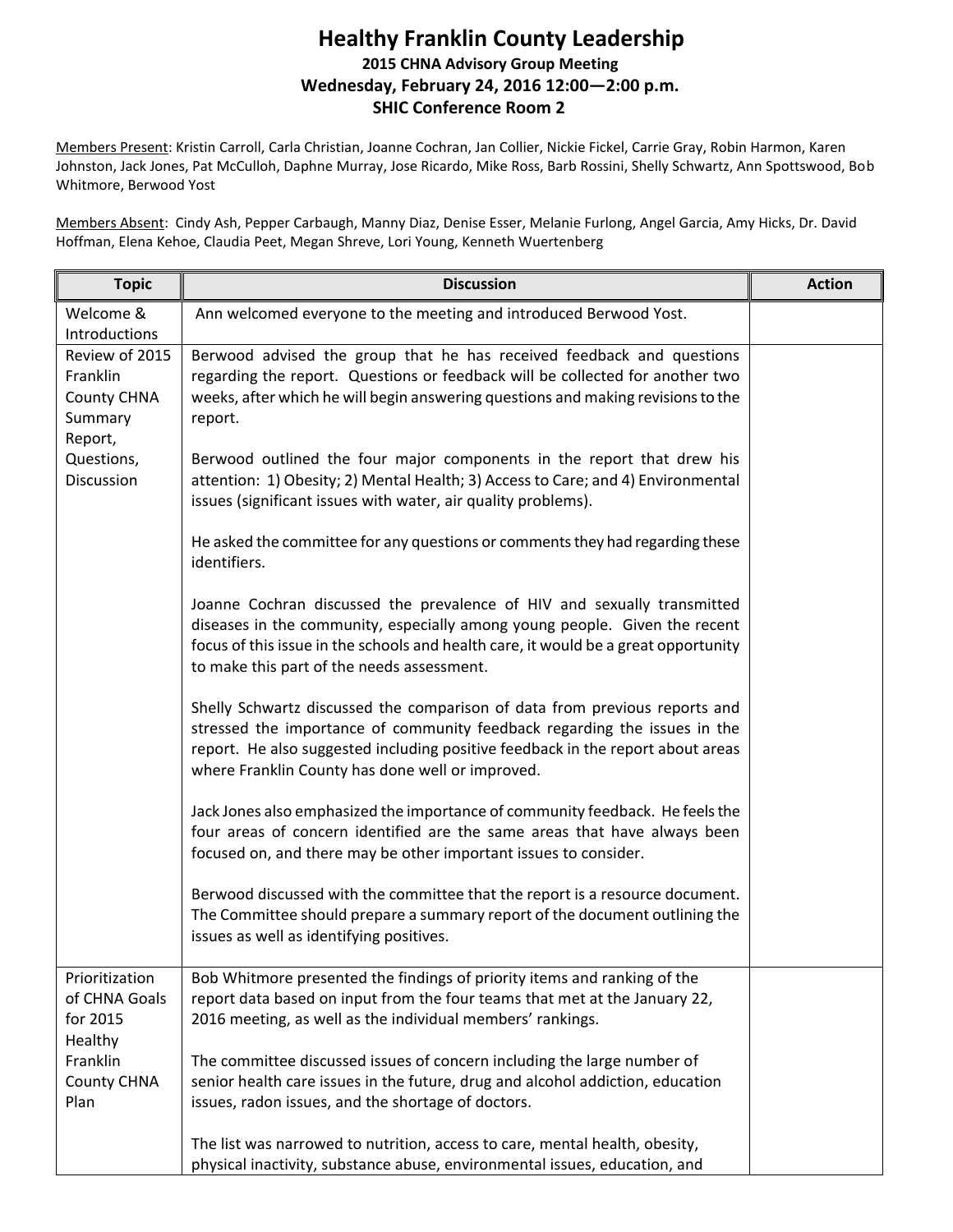## **Healthy Franklin County Leadership 2015 CHNA Advisory Group Meeting Wednesday, February 24, 2016 12:00—2:00 p.m. SHIC Conference Room 2**

Members Present: Kristin Carroll, Carla Christian, Joanne Cochran, Jan Collier, Nickie Fickel, Carrie Gray, Robin Harmon, Karen Johnston, Jack Jones, Pat McCulloh, Daphne Murray, Jose Ricardo, Mike Ross, Barb Rossini, Shelly Schwartz, Ann Spottswood, Bob Whitmore, Berwood Yost

Members Absent: Cindy Ash, Pepper Carbaugh, Manny Diaz, Denise Esser, Melanie Furlong, Angel Garcia, Amy Hicks, Dr. David Hoffman, Elena Kehoe, Claudia Peet, Megan Shreve, Lori Young, Kenneth Wuertenberg

| <b>Topic</b>                                                                                       | <b>Discussion</b>                                                                                                                                                                                                                                                                              | <b>Action</b> |
|----------------------------------------------------------------------------------------------------|------------------------------------------------------------------------------------------------------------------------------------------------------------------------------------------------------------------------------------------------------------------------------------------------|---------------|
| Welcome &<br><b>Introductions</b>                                                                  | Ann welcomed everyone to the meeting and introduced Berwood Yost.                                                                                                                                                                                                                              |               |
| Review of 2015<br>Franklin<br><b>County CHNA</b><br>Summary<br>Report,<br>Questions,<br>Discussion | Berwood advised the group that he has received feedback and questions<br>regarding the report. Questions or feedback will be collected for another two<br>weeks, after which he will begin answering questions and making revisions to the<br>report.                                          |               |
|                                                                                                    | Berwood outlined the four major components in the report that drew his<br>attention: 1) Obesity; 2) Mental Health; 3) Access to Care; and 4) Environmental<br>issues (significant issues with water, air quality problems).                                                                    |               |
|                                                                                                    | He asked the committee for any questions or comments they had regarding these<br>identifiers.                                                                                                                                                                                                  |               |
|                                                                                                    | Joanne Cochran discussed the prevalence of HIV and sexually transmitted<br>diseases in the community, especially among young people. Given the recent<br>focus of this issue in the schools and health care, it would be a great opportunity<br>to make this part of the needs assessment.     |               |
|                                                                                                    | Shelly Schwartz discussed the comparison of data from previous reports and<br>stressed the importance of community feedback regarding the issues in the<br>report. He also suggested including positive feedback in the report about areas<br>where Franklin County has done well or improved. |               |
|                                                                                                    | Jack Jones also emphasized the importance of community feedback. He feels the<br>four areas of concern identified are the same areas that have always been<br>focused on, and there may be other important issues to consider.                                                                 |               |
|                                                                                                    | Berwood discussed with the committee that the report is a resource document.<br>The Committee should prepare a summary report of the document outlining the<br>issues as well as identifying positives.                                                                                        |               |
| Prioritization<br>of CHNA Goals<br>for 2015<br>Healthy<br>Franklin<br>County CHNA<br>Plan          | Bob Whitmore presented the findings of priority items and ranking of the<br>report data based on input from the four teams that met at the January 22,<br>2016 meeting, as well as the individual members' rankings.                                                                           |               |
|                                                                                                    | The committee discussed issues of concern including the large number of<br>senior health care issues in the future, drug and alcohol addiction, education<br>issues, radon issues, and the shortage of doctors.                                                                                |               |
|                                                                                                    | The list was narrowed to nutrition, access to care, mental health, obesity,<br>physical inactivity, substance abuse, environmental issues, education, and                                                                                                                                      |               |